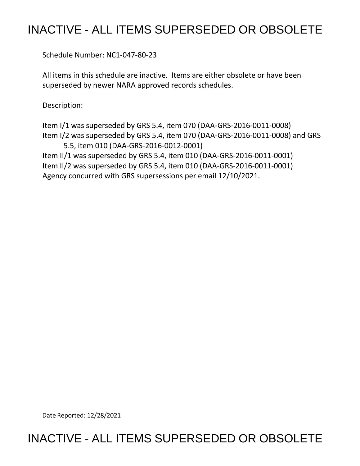## INACTIVE - ALL ITEMS SUPERSEDED OR OBSOLETE

Schedule Number: NC1-047-80-23

All items in this schedule are inactive. Items are either obsolete or have been superseded by newer NARA approved records schedules.

Description:

Item I/1 was superseded by GRS 5.4, item 070 (DAA-GRS-2016-0011-0008) Item I/2 was superseded by GRS 5.4, item 070 (DAA-GRS-2016-0011-0008) and GRS 5.5, item 010 (DAA-GRS-2016-0012-0001)

Item II/1 was superseded by GRS 5.4, item 010 (DAA-GRS-2016-0011-0001) Item II/2 was superseded by GRS 5.4, item 010 (DAA-GRS-2016-0011-0001) Agency concurred with GRS supersessions per email 12/10/2021.

Date Reported: 12/28/2021

## INACTIVE - ALL ITEMS SUPERSEDED OR OBSOLETE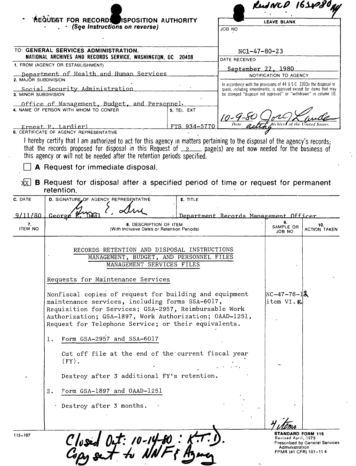|                                                                                                                                          | <b>REQUEST FOR RECORD</b> ISPOSITION AUTHORITY<br>· (See Instructions on reverse)                                                                                                                                                                                                                                          |                 | <b>LEAVE BLANK</b>                                                                                                                                                                                             |                             |                            |
|------------------------------------------------------------------------------------------------------------------------------------------|----------------------------------------------------------------------------------------------------------------------------------------------------------------------------------------------------------------------------------------------------------------------------------------------------------------------------|-----------------|----------------------------------------------------------------------------------------------------------------------------------------------------------------------------------------------------------------|-----------------------------|----------------------------|
|                                                                                                                                          |                                                                                                                                                                                                                                                                                                                            |                 | JOB NO                                                                                                                                                                                                         |                             |                            |
|                                                                                                                                          |                                                                                                                                                                                                                                                                                                                            |                 |                                                                                                                                                                                                                |                             |                            |
| TO: GENERAL SERVICES ADMINISTRATION,<br>NATIONAL ARCHIVES AND RECORDS SERVICE, WASHINGTON, DC 20408<br>1. FROM (AGENCY OR ESTABLISHMENT) |                                                                                                                                                                                                                                                                                                                            |                 | NC1-47-80-23<br>DATE RECEIVED<br>September 22, 1980                                                                                                                                                            |                             |                            |
|                                                                                                                                          |                                                                                                                                                                                                                                                                                                                            |                 |                                                                                                                                                                                                                |                             |                            |
| Social Security Administration<br>3. MINOR SUBDIVISION                                                                                   |                                                                                                                                                                                                                                                                                                                            |                 | In accordance with the provisions of 44 U.S.C. 3303a the disposal re-<br>quest, including amendments, is approved except for items that may<br>be stamped "disposal not approved" or "withdrawn" in column 10. |                             |                            |
|                                                                                                                                          | Office of Management, Budget, and Personnel.                                                                                                                                                                                                                                                                               |                 |                                                                                                                                                                                                                |                             |                            |
| 4. NAME OF PERSON WITH WHOM TO CONFER<br>5. TEL EXT                                                                                      |                                                                                                                                                                                                                                                                                                                            |                 |                                                                                                                                                                                                                |                             |                            |
|                                                                                                                                          | Ernest P. Lardieri<br>6. CERTIFICATE OF AGENCY REPRESENTATIVE                                                                                                                                                                                                                                                              | FTS 934-5770    | Date                                                                                                                                                                                                           |                             |                            |
| XXI                                                                                                                                      | A Request for immediate disposal.<br>B Request for disposal after a specified period of time or request for permanent                                                                                                                                                                                                      |                 |                                                                                                                                                                                                                |                             |                            |
|                                                                                                                                          | retention.<br>D. SIGNATURE OF AGENCY REPRESENTATIVE                                                                                                                                                                                                                                                                        | <b>E. TITLE</b> |                                                                                                                                                                                                                |                             |                            |
| 7.<br><b>ITEM NO</b>                                                                                                                     | George<br>8. DESCRIPTION OF ITEM<br>(With Inclusive Dates or Retention Periods)                                                                                                                                                                                                                                            |                 | Department Records Management Officer                                                                                                                                                                          | 9.<br>SAMPLE OR<br>JOB NO   | 10.<br><b>ACTION TAKEN</b> |
|                                                                                                                                          | RECORDS RETENTION AND DISPOSAL INSTRUCTIONS<br>MANAGEMENT, BUDGET, AND PERSONNEL FILES<br>MANAGEMENT SERVICES FILES                                                                                                                                                                                                        |                 |                                                                                                                                                                                                                |                             |                            |
|                                                                                                                                          | Requests for Maintenance Services<br>Nonfiscal copies of request for building and equipment<br>maintenance services, including forms SSA-6017,<br>Requisition for Services; GSA-2957, Reimbursable Work<br>Authorization; GSA-1897, Work Authorization; OAAD-1251,<br>Request for Telephone Service; or their equivalents. |                 |                                                                                                                                                                                                                | $NC-47-76-12$<br>item VI.K. |                            |
| C. DATE<br>9/11/80                                                                                                                       | Form GSA-2957 and SSA-6017<br>1.                                                                                                                                                                                                                                                                                           |                 |                                                                                                                                                                                                                |                             |                            |
|                                                                                                                                          | Cut off file at the end of the current fiscal year<br>$(FY)$ .                                                                                                                                                                                                                                                             |                 |                                                                                                                                                                                                                |                             |                            |

- 2. Form GSA-1897 and OAAD-1251
	- Destroy after 3 months.

Closed Oct: 10-14-80: K.T.

lms **STANDARD FORM 115**  Revised April, 1975 Prescribed by General Services Adm1mstrat1on FPMR (41 CFR) 101-11 **4**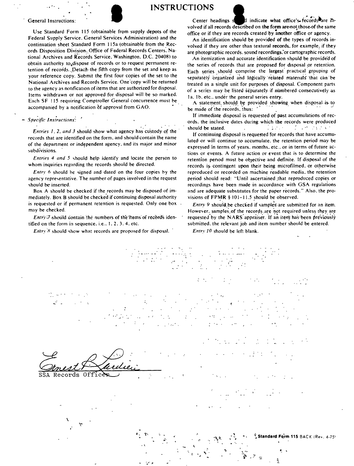

Federal Supply Service. General Services Administration) and the continuation sheet Standard Form 115a (obtainable from the Records Disposition Division.\_Office of Federal Records Centers: National Archives and Records Service, Washington. D.C. 20408) to obtain authority to dispose of records or to request permanent retention of records. Detach-the fifth copy from the set and keep as your reference copy. Submit the first four copies of the set to the National Archives and Records Service. One copy will be returned to the agency as notification of items that are authorized for disposal. Items withdrawn or not approved for disposal will be so marked. Each SF 115 requiring Comptroller General concurrence must be. accompanied by a notification bf approval from GAO. •

## - Specific Instructions:

Entries 1, 2, and 3 should show what agency has custody of the records that are identified on the form. and should contain the name of the department or independent agency, and its major and minor ~ubdi°visions. ·

*Entries 4 and 5* ,hould help identify and locate the person to whom inquiries regarding the records should be directed.

*Entry* 6 should be signed and dated on the four copies by the agency representative. The number of pages involved in the request ~hould be- inserted.

Box A should be checked if the records may be disposed of immediately. Box B should be checked if continuing disposal authority is requested or if permanent retention is requested. Only one box may be checked.

*Entry 7* should contain the numbers of the items of records identified on the form in sequence. i.e.,  $1, 2, 3, 4$ , etc.

*Entry 8* should show what records are proposed for disposal.

\

General Instructions:<br>Center headings section of the form are not those of the same<br>volved if all records described on the form are not those of the same volved if all records described on the form are•not those.of the same<br>Use Standard Form 115 (obtainable from supply depots of the office or if they are records created by another office or agency.

> An identification should be provided of the types of records in· volved if they are other than textural records, for example, if they are photographic records. sound recordings, or cartographic records.

> An itemization and accurate identification should be provided of the series of records that are proposed for disposal or retention. Each series should comprise the largest practical grouping of separately organized and logically related materials that can be treated as a single unit for purposes of disposal. Component parts of a series may be listed se'paratety. if numbered consecutively as 1a. 1b. etc., under the general series entry.

> A statement, should be provided showing when disposal is to be made of the records, thus:

> If immediate disposal is requested of past accumulations of rec· ords. the inclusive dates during which **the** records were produced should be stated. ·' \_. , *:* '

> If continuing disposal is requested for records that have accumulated or will continue to accumulate, the retention period may be expressed in terms of years. months. etc., or in terms of future actions or events. A future action or event that is to determine the retention period must be objective and definite. If disposal of the records is contingent upon their being microfilmed. or otherwise reproduced or recorded on machine readable media. the retention period should read: "Until ascertained that reproduced copies or recordings have been made in accordance with GSA regulations and are adequate substitutes for the paper records." Also, the provisions of  $FPMR$  § 101-11.5 should be observed.

> *Entry 9* should be checked if samples are submitted for an item. However. samples of the records are not required unless they are requested by the NARS appraiser. If an item has been previously submitted. the relevant job and item number should be entered.

*Entry /0* should be left blank.

Ernest F Les Comest Laudieu Records Office

**\Standard Fofm 115** BACK (Rev. 4-751